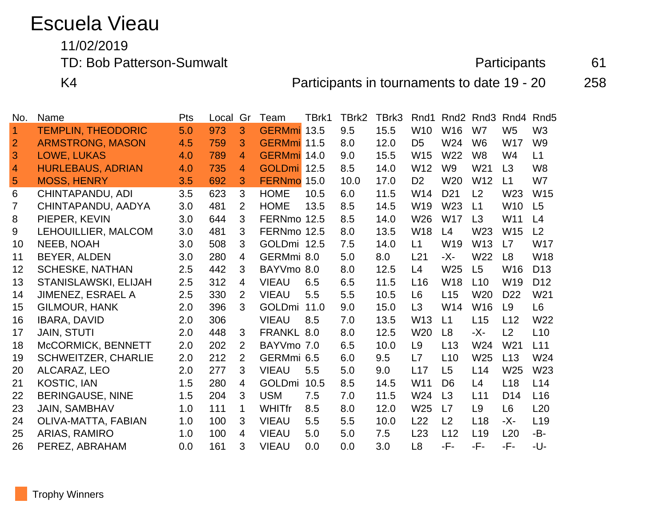# Escuela Vieau

11/02/2019

TD: Bob Patterson-Sumwalt **Participants** 61

K4 **Participants in tournaments to date 19 - 20** 258

| No.            | Name                       | Pts | Local | Gr             | Team          | TBrk1 | TBrk2 | TBrk3 | Rnd1            | Rnd <sub>2</sub> | Rnd <sub>3</sub> | Rnd4            | Rnd <sub>5</sub> |
|----------------|----------------------------|-----|-------|----------------|---------------|-------|-------|-------|-----------------|------------------|------------------|-----------------|------------------|
| 1              | <b>TEMPLIN, THEODORIC</b>  | 5.0 | 973   | 3              | GERMmi 13.5   |       | 9.5   | 15.5  | W10             | W16              | W7               | W <sub>5</sub>  | W <sub>3</sub>   |
| $\overline{2}$ | <b>ARMSTRONG, MASON</b>    | 4.5 | 759   | 3              | GERMmi 11.5   |       | 8.0   | 12.0  | D <sub>5</sub>  | W24              | W <sub>6</sub>   | <b>W17</b>      | W <sub>9</sub>   |
| 3              | LOWE, LUKAS                | 4.0 | 789   | 4              | GERMmi 14.0   |       | 9.0   | 15.5  | W15             | W <sub>22</sub>  | W <sub>8</sub>   | W4              | L1               |
| 4              | <b>HURLEBAUS, ADRIAN</b>   | 4.0 | 735   | 4              | GOLDmi 12.5   |       | 8.5   | 14.0  | W12             | W <sub>9</sub>   | W21              | L3              | W <sub>8</sub>   |
| 5              | <b>MOSS, HENRY</b>         | 3.5 | 692   | 3              | FERNmo 15.0   |       | 10.0  | 17.0  | D <sub>2</sub>  | W <sub>20</sub>  | W <sub>12</sub>  | L1              | W7               |
| 6              | <b>CHINTAPANDU, ADI</b>    | 3.5 | 623   | 3              | <b>HOME</b>   | 10.5  | 6.0   | 11.5  | W14             | D <sub>21</sub>  | L2               | W23             | W15              |
| 7              | CHINTAPANDU, AADYA         | 3.0 | 481   | 2              | <b>HOME</b>   | 13.5  | 8.5   | 14.5  | W19             | W23              | L1               | <b>W10</b>      | L5               |
| 8              | PIEPER, KEVIN              | 3.0 | 644   | 3              | FERNmo 12.5   |       | 8.5   | 14.0  | W26             | <b>W17</b>       | L3               | W11             | L4               |
| 9              | LEHOUILLIER, MALCOM        | 3.0 | 481   | 3              | FERNmo 12.5   |       | 8.0   | 13.5  | <b>W18</b>      | L4               | W23              | W <sub>15</sub> | L <sub>2</sub>   |
| 10             | NEEB, NOAH                 | 3.0 | 508   | 3              | GOLDmi 12.5   |       | 7.5   | 14.0  | L1              | W <sub>19</sub>  | W <sub>13</sub>  | L7              | <b>W17</b>       |
| 11             | BEYER, ALDEN               | 3.0 | 280   | 4              | GERMmi 8.0    |       | 5.0   | 8.0   | L <sub>21</sub> | -X-              | W22              | L8              | W18              |
| 12             | <b>SCHESKE, NATHAN</b>     | 2.5 | 442   | 3              | BAYVmo 8.0    |       | 8.0   | 12.5  | L4              | W <sub>25</sub>  | L5               | W <sub>16</sub> | D <sub>13</sub>  |
| 13             | STANISLAWSKI, ELIJAH       | 2.5 | 312   | 4              | <b>VIEAU</b>  | 6.5   | 6.5   | 11.5  | L16             | <b>W18</b>       | L10              | W <sub>19</sub> | D <sub>12</sub>  |
| 14             | JIMENEZ, ESRAEL A          | 2.5 | 330   | $\overline{2}$ | <b>VIEAU</b>  | 5.5   | 5.5   | 10.5  | L <sub>6</sub>  | L15              | W20              | D <sub>22</sub> | W21              |
| 15             | <b>GILMOUR, HANK</b>       | 2.0 | 396   | 3              | GOLDmi 11.0   |       | 9.0   | 15.0  | L3              | W14              | W <sub>16</sub>  | L9              | L <sub>6</sub>   |
| 16             | <b>IBARA, DAVID</b>        | 2.0 | 306   |                | <b>VIEAU</b>  | 8.5   | 7.0   | 13.5  | W <sub>13</sub> | L1               | L15              | L12             | W22              |
| 17             | <b>JAIN, STUTI</b>         | 2.0 | 448   | 3              | FRANKL 8.0    |       | 8.0   | 12.5  | W <sub>20</sub> | L8               | -X-              | L <sub>2</sub>  | L10              |
| 18             | McCORMICK, BENNETT         | 2.0 | 202   | 2              | BAYVmo 7.0    |       | 6.5   | 10.0  | L <sub>9</sub>  | L13              | W24              | W <sub>21</sub> | L11              |
| 19             | <b>SCHWEITZER, CHARLIE</b> | 2.0 | 212   | $\overline{2}$ | GERMmi 6.5    |       | 6.0   | 9.5   | L7              | L10              | W25              | L13             | W24              |
| 20             | ALCARAZ, LEO               | 2.0 | 277   | 3              | <b>VIEAU</b>  | 5.5   | 5.0   | 9.0   | L17             | L5               | L14              | W <sub>25</sub> | W23              |
| 21             | <b>KOSTIC, IAN</b>         | 1.5 | 280   | 4              | <b>GOLDmi</b> | 10.5  | 8.5   | 14.5  | W11             | D <sub>6</sub>   | L4               | L18             | L14              |
| 22             | <b>BERINGAUSE, NINE</b>    | 1.5 | 204   | 3              | <b>USM</b>    | 7.5   | 7.0   | 11.5  | W24             | L3               | L11              | D <sub>14</sub> | L <sub>16</sub>  |
| 23             | <b>JAIN, SAMBHAV</b>       | 1.0 | 111   | 1              | <b>WHITfr</b> | 8.5   | 8.0   | 12.0  | W <sub>25</sub> | L7               | L9               | L <sub>6</sub>  | L20              |
| 24             | OLIVA-MATTA, FABIAN        | 1.0 | 100   | 3              | <b>VIEAU</b>  | 5.5   | 5.5   | 10.0  | L22             | L2               | L <sub>18</sub>  | -X-             | L <sub>19</sub>  |
| 25             | ARIAS, RAMIRO              | 1.0 | 100   | 4              | <b>VIEAU</b>  | 5.0   | 5.0   | 7.5   | L23             | L12              | L <sub>19</sub>  | L20             | -B-              |
| 26             | PEREZ, ABRAHAM             | 0.0 | 161   | 3              | <b>VIEAU</b>  | 0.0   | 0.0   | 3.0   | L <sub>8</sub>  | -F-              | -F-              | -F-             | -U-              |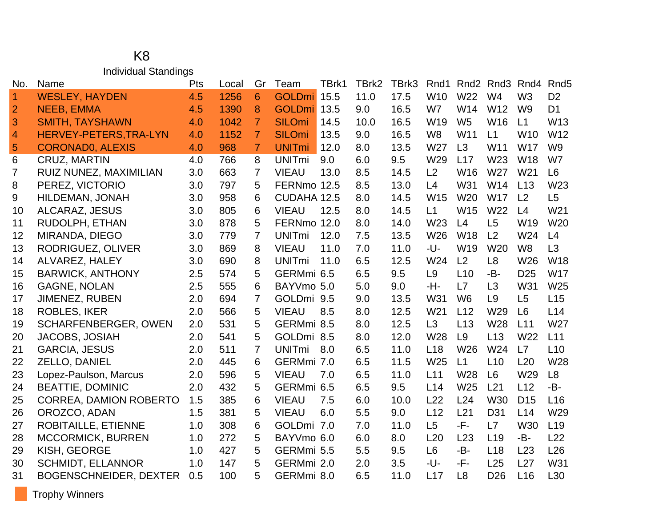### K8 Individual Standings

| No.                      | Name                          | Pts | Local | Gr             | Team          | TBrk1 | TBrk2 | TBrk3 | Rnd1            | Rnd2           | Rnd3            | Rnd4            | Rnd <sub>5</sub> |
|--------------------------|-------------------------------|-----|-------|----------------|---------------|-------|-------|-------|-----------------|----------------|-----------------|-----------------|------------------|
| $\vert$ 1                | <b>WESLEY, HAYDEN</b>         | 4.5 | 1256  | 6              | GOLDmi 15.5   |       | 11.0  | 17.5  | W <sub>10</sub> | W22            | W4              | W <sub>3</sub>  | D <sub>2</sub>   |
| $\overline{2}$           | <b>NEEB, EMMA</b>             | 4.5 | 1390  | 8              | GOLDmi 13.5   |       | 9.0   | 16.5  | W7              | W14            | W12             | W <sub>9</sub>  | D <sub>1</sub>   |
| 3                        | <b>SMITH, TAYSHAWN</b>        | 4.0 | 1042  | $\overline{7}$ | <b>SILOmi</b> | 14.5  | 10.0  | 16.5  | W19             | W <sub>5</sub> | W16             | L1              | W13              |
| $\overline{\mathcal{A}}$ | HERVEY-PETERS, TRA-LYN        | 4.0 | 1152  | $\overline{7}$ | <b>SILOmi</b> | 13.5  | 9.0   | 16.5  | W <sub>8</sub>  | W11            | L1              | W <sub>10</sub> | W12              |
| 5                        | <b>CORONADO, ALEXIS</b>       | 4.0 | 968   | $\overline{7}$ | <b>UNITmi</b> | 12.0  | 8.0   | 13.5  | W27             | L3             | W11             | <b>W17</b>      | W <sub>9</sub>   |
| 6                        | <b>CRUZ, MARTIN</b>           | 4.0 | 766   | 8              | <b>UNITmi</b> | 9.0   | 6.0   | 9.5   | W29             | L17            | W <sub>23</sub> | W18             | W7               |
| 7                        | RUIZ NUNEZ, MAXIMILIAN        | 3.0 | 663   | $\overline{7}$ | <b>VIEAU</b>  | 13.0  | 8.5   | 14.5  | L2              | W16            | W27             | W21             | L <sub>6</sub>   |
| 8                        | PEREZ, VICTORIO               | 3.0 | 797   | 5              | FERNmo 12.5   |       | 8.5   | 13.0  | L4              | W31            | W14             | L13             | W23              |
| 9                        | HILDEMAN, JONAH               | 3.0 | 958   | 6              | CUDAHA 12.5   |       | 8.0   | 14.5  | W15             | W20            | <b>W17</b>      | L2              | L5               |
| 10                       | <b>ALCARAZ, JESUS</b>         | 3.0 | 805   | 6              | <b>VIEAU</b>  | 12.5  | 8.0   | 14.5  | L1              | W15            | W22             | L4              | W21              |
| 11                       | RUDOLPH, ETHAN                | 3.0 | 878   | 5              | FERNmo 12.0   |       | 8.0   | 14.0  | W23             | L4             | L5              | W <sub>19</sub> | W20              |
| 12                       | MIRANDA, DIEGO                | 3.0 | 779   | $\overline{7}$ | <b>UNITmi</b> | 12.0  | 7.5   | 13.5  | W26             | <b>W18</b>     | L2              | W24             | L4               |
| 13                       | RODRIGUEZ, OLIVER             | 3.0 | 869   | 8              | <b>VIEAU</b>  | 11.0  | 7.0   | 11.0  | -U-             | W19            | W20             | W <sub>8</sub>  | L3               |
| 14                       | ALVAREZ, HALEY                | 3.0 | 690   | 8              | <b>UNITmi</b> | 11.0  | 6.5   | 12.5  | W24             | L2             | L8              | W26             | W18              |
| 15                       | <b>BARWICK, ANTHONY</b>       | 2.5 | 574   | 5              | GERMmi 6.5    |       | 6.5   | 9.5   | L <sub>9</sub>  | L10            | -B-             | D <sub>25</sub> | <b>W17</b>       |
| 16                       | <b>GAGNE, NOLAN</b>           | 2.5 | 555   | 6              | BAYVmo 5.0    |       | 5.0   | 9.0   | -H-             | L7             | L3              | W31             | W25              |
| 17                       | JIMENEZ, RUBEN                | 2.0 | 694   | $\overline{7}$ | GOLDmi 9.5    |       | 9.0   | 13.5  | W31             | W <sub>6</sub> | L9              | L5              | L15              |
| 18                       | <b>ROBLES, IKER</b>           | 2.0 | 566   | 5              | <b>VIEAU</b>  | 8.5   | 8.0   | 12.5  | W <sub>21</sub> | L12            | W29             | L6              | L14              |
| 19                       | <b>SCHARFENBERGER, OWEN</b>   | 2.0 | 531   | 5              | GERMmi 8.5    |       | 8.0   | 12.5  | L <sub>3</sub>  | L13            | W28             | L11             | W27              |
| 20                       | JACOBS, JOSIAH                | 2.0 | 541   | 5              | GOLDmi 8.5    |       | 8.0   | 12.0  | <b>W28</b>      | L <sub>9</sub> | L13             | W22             | L11              |
| 21                       | <b>GARCIA, JESUS</b>          | 2.0 | 511   | 7              | <b>UNITmi</b> | 8.0   | 6.5   | 11.0  | L <sub>18</sub> | W26            | W24             | L7              | L10              |
| 22                       | ZELLO, DANIEL                 | 2.0 | 445   | 6              | GERMmi 7.0    |       | 6.5   | 11.5  | W25             | L1             | L10             | L20             | W28              |
| 23                       | Lopez-Paulson, Marcus         | 2.0 | 596   | 5              | <b>VIEAU</b>  | 7.0   | 6.5   | 11.0  | L11             | <b>W28</b>     | L <sub>6</sub>  | W29             | L8               |
| 24                       | <b>BEATTIE, DOMINIC</b>       | 2.0 | 432   | 5              | GERMmi 6.5    |       | 6.5   | 9.5   | L14             | W25            | L21             | L12             | -B-              |
| 25                       | <b>CORREA, DAMION ROBERTO</b> | 1.5 | 385   | 6              | <b>VIEAU</b>  | 7.5   | 6.0   | 10.0  | L22             | L24            | W30             | D <sub>15</sub> | L16              |
| 26                       | OROZCO, ADAN                  | 1.5 | 381   | 5              | <b>VIEAU</b>  | 6.0   | 5.5   | 9.0   | L12             | L21            | D31             | L14             | W29              |
| 27                       | ROBITAILLE, ETIENNE           | 1.0 | 308   | 6              | GOLDmi 7.0    |       | 7.0   | 11.0  | L5              | -F-            | L7              | W30             | L <sub>19</sub>  |
| 28                       | <b>MCCORMICK, BURREN</b>      | 1.0 | 272   | 5              | BAYVmo 6.0    |       | 6.0   | 8.0   | L20             | L23            | L <sub>19</sub> | $-B-$           | L22              |
| 29                       | KISH, GEORGE                  | 1.0 | 427   | 5              | GERMmi 5.5    |       | 5.5   | 9.5   | L <sub>6</sub>  | -B-            | L18             | L23             | L26              |
| 30                       | <b>SCHMIDT, ELLANNOR</b>      | 1.0 | 147   | 5              | GERMmi 2.0    |       | 2.0   | 3.5   | -U-             | -F-            | L25             | L27             | W31              |
| 31                       | <b>BOGENSCHNEIDER, DEXTER</b> | 0.5 | 100   | 5              | GERMmi 8.0    |       | 6.5   | 11.0  | L17             | L <sub>8</sub> | D <sub>26</sub> | L16             | L30              |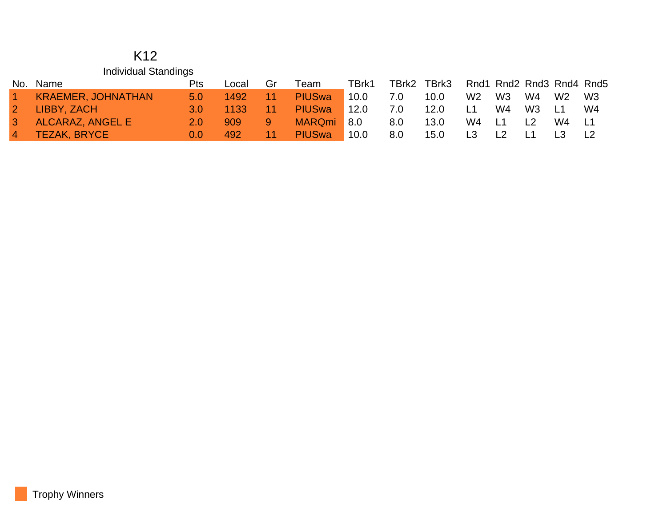#### K12 Individual Standings

| No.          | Name                      | Pts       | Local | Gr | Team                     | TBrk1              | TBrk2 | TBrk3 |                |                |                |                 | Rnd1 Rnd2 Rnd3 Rnd4 Rnd5 |
|--------------|---------------------------|-----------|-------|----|--------------------------|--------------------|-------|-------|----------------|----------------|----------------|-----------------|--------------------------|
|              | <b>KRAEMER, JOHNATHAN</b> | 5.0       | 1492  | 11 | <b>PIUS<sub>wa</sub></b> | 10.0               | 7.0   | 10.0  | W <sub>2</sub> | W3             | W4             | W2              | W3                       |
|              | LIBBY, ZACH               | <b>30</b> | 1133  |    | <b>PIUS<sub>wa</sub></b> | 12.0               | 7.0   | 12.0  | L1             | W4             | W <sub>3</sub> | $\overline{11}$ | W4                       |
| $\mathbf{3}$ | ALCARAZ, ANGEL E          | 2.0       | 909   | 9  | <b>MARQmi</b>            | $\blacksquare$ 8.0 | 8.0   | 13.0  | W4             | $\overline{1}$ | L <sub>2</sub> | W4.             | - L1                     |
|              | <b>TEZAK, BRYCE</b>       | 0.0       | 492   | 11 | <b>PIUS<sub>wa</sub></b> | 10.0               | 8.0   | 15.0  | L3             |                |                |                 |                          |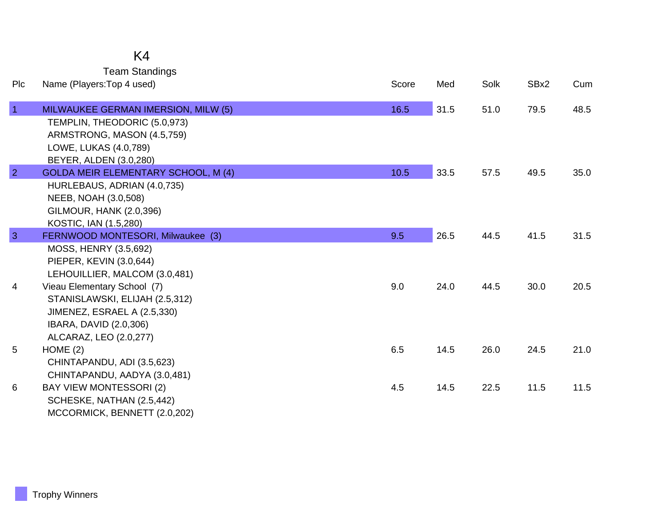## K4

Team Standings

| Plc            | Name (Players: Top 4 used)                 | Score | Med  | Solk | SBx2 | Cum  |
|----------------|--------------------------------------------|-------|------|------|------|------|
| $\overline{1}$ | MILWAUKEE GERMAN IMERSION, MILW (5)        | 16.5  | 31.5 | 51.0 | 79.5 | 48.5 |
|                | TEMPLIN, THEODORIC (5.0,973)               |       |      |      |      |      |
|                | ARMSTRONG, MASON (4.5,759)                 |       |      |      |      |      |
|                | LOWE, LUKAS (4.0,789)                      |       |      |      |      |      |
|                | BEYER, ALDEN (3.0,280)                     |       |      |      |      |      |
| $\overline{2}$ | <b>GOLDA MEIR ELEMENTARY SCHOOL, M (4)</b> | 10.5  | 33.5 | 57.5 | 49.5 | 35.0 |
|                | HURLEBAUS, ADRIAN (4.0,735)                |       |      |      |      |      |
|                | NEEB, NOAH (3.0,508)                       |       |      |      |      |      |
|                | <b>GILMOUR, HANK (2.0,396)</b>             |       |      |      |      |      |
|                | KOSTIC, IAN (1.5,280)                      |       |      |      |      |      |
| $\overline{3}$ | FERNWOOD MONTESORI, Milwaukee (3)          | 9.5   | 26.5 | 44.5 | 41.5 | 31.5 |
|                | MOSS, HENRY (3.5,692)                      |       |      |      |      |      |
|                | PIEPER, KEVIN (3.0,644)                    |       |      |      |      |      |
|                | LEHOUILLIER, MALCOM (3.0,481)              |       |      |      |      |      |
| 4              | Vieau Elementary School (7)                | 9.0   | 24.0 | 44.5 | 30.0 | 20.5 |
|                | STANISLAWSKI, ELIJAH (2.5,312)             |       |      |      |      |      |
|                | JIMENEZ, ESRAEL A (2.5,330)                |       |      |      |      |      |
|                | IBARA, DAVID (2.0,306)                     |       |      |      |      |      |
|                | ALCARAZ, LEO (2.0,277)                     | 6.5   | 14.5 | 26.0 | 24.5 | 21.0 |
| 5              | HOME(2)<br>CHINTAPANDU, ADI (3.5,623)      |       |      |      |      |      |
|                | CHINTAPANDU, AADYA (3.0,481)               |       |      |      |      |      |
| 6              | <b>BAY VIEW MONTESSORI (2)</b>             | 4.5   | 14.5 | 22.5 | 11.5 | 11.5 |
|                | SCHESKE, NATHAN (2.5,442)                  |       |      |      |      |      |
|                | MCCORMICK, BENNETT (2.0,202)               |       |      |      |      |      |
|                |                                            |       |      |      |      |      |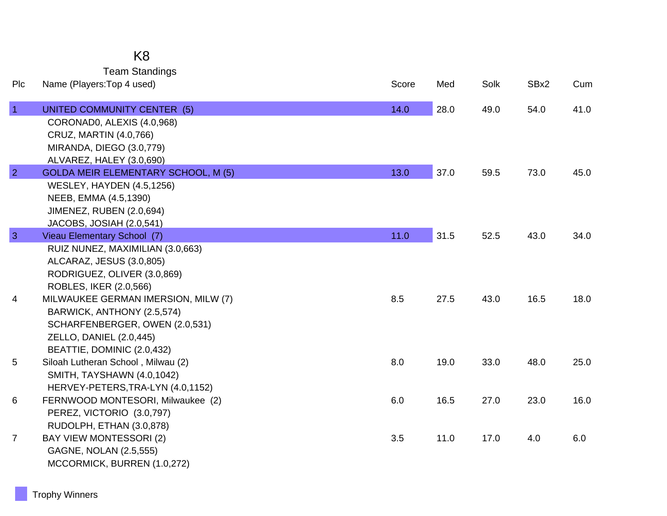## K8

Team Standings

| Plc            | Name (Players: Top 4 used)                 | Score | Med  | Solk | SBx2 | Cum  |
|----------------|--------------------------------------------|-------|------|------|------|------|
| $\vert$ 1      | UNITED COMMUNITY CENTER (5)                | 14.0  | 28.0 | 49.0 | 54.0 | 41.0 |
|                | CORONADO, ALEXIS (4.0,968)                 |       |      |      |      |      |
|                | CRUZ, MARTIN (4.0,766)                     |       |      |      |      |      |
|                | MIRANDA, DIEGO (3.0,779)                   |       |      |      |      |      |
|                | ALVAREZ, HALEY (3.0,690)                   |       |      |      |      |      |
| $\overline{2}$ | <b>GOLDA MEIR ELEMENTARY SCHOOL, M (5)</b> | 13.0  | 37.0 | 59.5 | 73.0 | 45.0 |
|                | <b>WESLEY, HAYDEN (4.5,1256)</b>           |       |      |      |      |      |
|                | NEEB, EMMA (4.5,1390)                      |       |      |      |      |      |
|                | JIMENEZ, RUBEN (2.0,694)                   |       |      |      |      |      |
|                | JACOBS, JOSIAH (2.0,541)                   |       |      |      |      |      |
| $\mathbf{3}$   | Vieau Elementary School (7)                | 11.0  | 31.5 | 52.5 | 43.0 | 34.0 |
|                | RUIZ NUNEZ, MAXIMILIAN (3.0,663)           |       |      |      |      |      |
|                | ALCARAZ, JESUS (3.0,805)                   |       |      |      |      |      |
|                | RODRIGUEZ, OLIVER (3.0,869)                |       |      |      |      |      |
|                | ROBLES, IKER (2.0,566)                     |       |      |      |      |      |
| 4              | MILWAUKEE GERMAN IMERSION, MILW (7)        | 8.5   | 27.5 | 43.0 | 16.5 | 18.0 |
|                | BARWICK, ANTHONY (2.5,574)                 |       |      |      |      |      |
|                | SCHARFENBERGER, OWEN (2.0,531)             |       |      |      |      |      |
|                | <b>ZELLO, DANIEL (2.0,445)</b>             |       |      |      |      |      |
|                | BEATTIE, DOMINIC (2.0,432)                 |       |      |      |      |      |
| 5              | Siloah Lutheran School, Milwau (2)         | 8.0   | 19.0 | 33.0 | 48.0 | 25.0 |
|                | SMITH, TAYSHAWN (4.0,1042)                 |       |      |      |      |      |
|                | HERVEY-PETERS, TRA-LYN (4.0, 1152)         |       |      |      |      |      |
| 6              | FERNWOOD MONTESORI, Milwaukee (2)          | 6.0   | 16.5 | 27.0 | 23.0 | 16.0 |
|                | PEREZ, VICTORIO (3.0,797)                  |       |      |      |      |      |
|                | RUDOLPH, ETHAN (3.0,878)                   |       |      |      |      |      |
| $\overline{7}$ | <b>BAY VIEW MONTESSORI (2)</b>             | 3.5   | 11.0 | 17.0 | 4.0  | 6.0  |
|                | GAGNE, NOLAN (2.5,555)                     |       |      |      |      |      |
|                | MCCORMICK, BURREN (1.0,272)                |       |      |      |      |      |